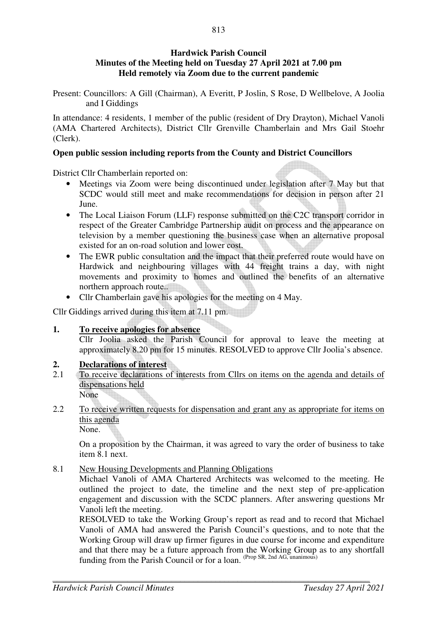## **Hardwick Parish Council Minutes of the Meeting held on Tuesday 27 April 2021 at 7.00 pm Held remotely via Zoom due to the current pandemic**

Present: Councillors: A Gill (Chairman), A Everitt, P Joslin, S Rose, D Wellbelove, A Joolia and I Giddings

In attendance: 4 residents, 1 member of the public (resident of Dry Drayton), Michael Vanoli (AMA Chartered Architects), District Cllr Grenville Chamberlain and Mrs Gail Stoehr (Clerk).

## **Open public session including reports from the County and District Councillors**

District Cllr Chamberlain reported on:

- Meetings via Zoom were being discontinued under legislation after 7 May but that SCDC would still meet and make recommendations for decision in person after 21 June.
- The Local Liaison Forum (LLF) response submitted on the C2C transport corridor in respect of the Greater Cambridge Partnership audit on process and the appearance on television by a member questioning the business case when an alternative proposal existed for an on-road solution and lower cost.
- The EWR public consultation and the impact that their preferred route would have on Hardwick and neighbouring villages with 44 freight trains a day, with night movements and proximity to homes and outlined the benefits of an alternative northern approach route.
- Cllr Chamberlain gave his apologies for the meeting on 4 May.

Cllr Giddings arrived during this item at 7.11 pm.

#### **1. To receive apologies for absence**

Cllr Joolia asked the Parish Council for approval to leave the meeting at approximately 8.20 pm for 15 minutes. RESOLVED to approve Cllr Joolia's absence.

## **2. Declarations of interest**

- 2.1 To receive declarations of interests from Cllrs on items on the agenda and details of dispensations held None
- 2.2 To receive written requests for dispensation and grant any as appropriate for items on this agenda

None.

On a proposition by the Chairman, it was agreed to vary the order of business to take item 8.1 next.

8.1 New Housing Developments and Planning Obligations

Michael Vanoli of AMA Chartered Architects was welcomed to the meeting. He outlined the project to date, the timeline and the next step of pre-application engagement and discussion with the SCDC planners. After answering questions Mr Vanoli left the meeting.

RESOLVED to take the Working Group's report as read and to record that Michael Vanoli of AMA had answered the Parish Council's questions, and to note that the Working Group will draw up firmer figures in due course for income and expenditure and that there may be a future approach from the Working Group as to any shortfall funding from the Parish Council or for a loan. (Prop SR, 2nd AG, unanimous)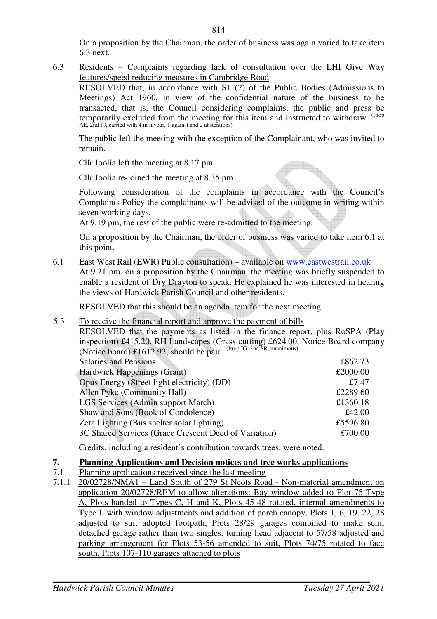On a proposition by the Chairman, the order of business was again varied to take item 6.3 next.

6.3 Residents – Complaints regarding lack of consultation over the LHI Give Way features/speed reducing measures in Cambridge Road RESOLVED that, in accordance with S1 (2) of the Public Bodies (Admissions to Meetings) Act 1960, in view of the confidential nature of the business to be transacted, that is, the Council considering complaints, the public and press be temporarily excluded from the meeting for this item and instructed to withdraw. (Prop AE, 2nd PJ, carried with 4 in favour, 1 against and 2 abstentions)

The public left the meeting with the exception of the Complainant, who was invited to remain.

Cllr Joolia left the meeting at 8.17 pm.

Cllr Joolia re-joined the meeting at 8.35 pm.

Following consideration of the complaints in accordance with the Council's Complaints Policy the complainants will be advised of the outcome in writing within seven working days,

At 9.19 pm, the rest of the public were re-admitted to the meeting.

On a proposition by the Chairman, the order of business was varied to take item 6.1 at this point.

6.1 East West Rail (EWR) Public consultation) – available on www.eastwestrail.co.uk

At 9.21 pm, on a proposition by the Chairman, the meeting was briefly suspended to enable a resident of Dry Drayton to speak. He explained he was interested in hearing the views of Hardwick Parish Council and other residents.

RESOLVED that this should be an agenda item for the next meeting.

#### 5.3 To receive the financial report and approve the payment of bills

RESOLVED that the payments as listed in the finance report, plus RoSPA (Play inspection) £415.20, RH Landscapes (Grass cutting) £624.00, Notice Board company (Notice board) £1612.92, should be paid. <sup>(Prop IG, 2nd SR, unanimous)</sup>

| <b>Salaries and Pensions</b>                          | £862.73  |
|-------------------------------------------------------|----------|
| <b>Hardwick Happenings (Grant)</b>                    | £2000.00 |
| Opus Energy (Street light electricity) (DD)           | £7.47    |
| Allen Pyke (Community Hall)                           | £2289.60 |
| <b>LGS Services (Admin support March)</b>             | £1360.18 |
| Shaw and Sons (Book of Condolence)                    | £42.00   |
| Zeta Lighting (Bus shelter solar lighting)            | £5596.80 |
| 3C Shared Services (Grace Crescent Deed of Variation) | £700.00  |

Credits, including a resident's contribution towards trees, were noted.

## **7. Planning Applications and Decision notices and tree works applications**

- 7.1 Planning applications received since the last meeting
- 7.1.1 20/02728/NMA1 Land South of 279 St Neots Road Non-material amendment on application 20/02728/REM to allow alterations: Bay window added to Plot 75 Type A, Plots handed to Types C, H and K, Plots 45-48 rotated, internal amendments to Type L with window adjustments and addition of porch canopy, Plots 1, 6, 19, 22, 28 adjusted to suit adopted footpath, Plots 28/29 garages combined to make semi detached garage rather than two singles, turning head adjacent to 57/58 adjusted and parking arrangement for Plots 53-56 amended to suit, Plots 74/75 rotated to face south, Plots 107-110 garages attached to plots